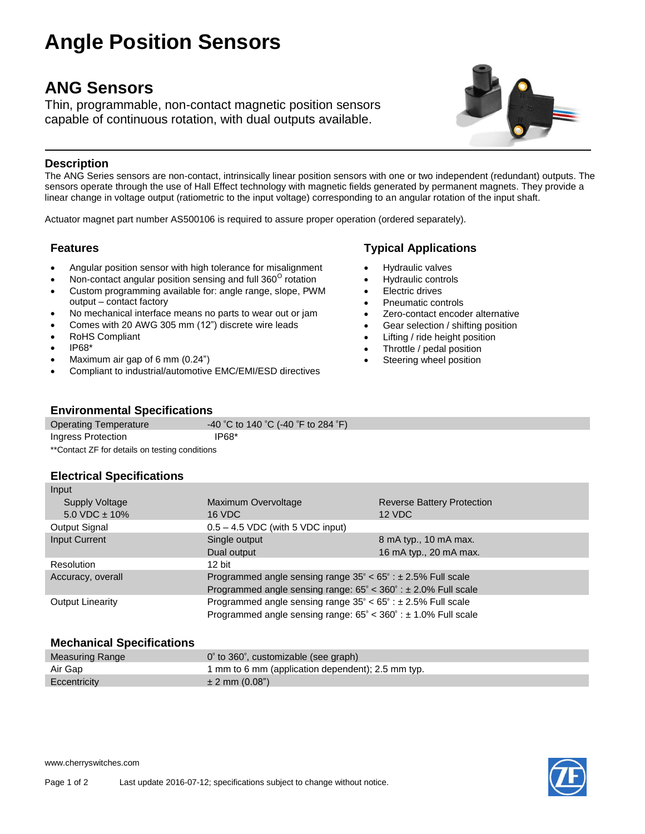# **Angle Position Sensors**

## **ANG Sensors**

Thin, programmable, non-contact magnetic position sensors capable of continuous rotation, with dual outputs available.



#### **Description**

The ANG Series sensors are non-contact, intrinsically linear position sensors with one or two independent (redundant) outputs. The sensors operate through the use of Hall Effect technology with magnetic fields generated by permanent magnets. They provide a linear change in voltage output (ratiometric to the input voltage) corresponding to an angular rotation of the input shaft.

Actuator magnet part number AS500106 is required to assure proper operation (ordered separately).

- Angular position sensor with high tolerance for misalignment
- $\bullet$  Non-contact angular position sensing and full 360 $^{\circ}$  rotation
- Custom programming available for: angle range, slope, PWM output – contact factory
- No mechanical interface means no parts to wear out or jam
- Comes with 20 AWG 305 mm (12") discrete wire leads
- RoHS Compliant
- IP68\*
- Maximum air gap of 6 mm (0.24")
- Compliant to industrial/automotive EMC/EMI/ESD directives

### **Features Typical Applications**

- Hydraulic valves
- Hydraulic controls
- Electric drives
- Pneumatic controls
- Zero-contact encoder alternative
- Gear selection / shifting position
- Lifting / ride height position
- Throttle / pedal position
- Steering wheel position

#### **Environmental Specifications**

| <b>Operating Temperature</b>                   | -40 °C to 140 °C (-40 °F to 284 °F) |  |
|------------------------------------------------|-------------------------------------|--|
| Ingress Protection                             | IP68*                               |  |
| **Contact ZF for details on testing conditions |                                     |  |

#### **Electrical Specifications**

| Input                   |                                                                                      |                                   |  |
|-------------------------|--------------------------------------------------------------------------------------|-----------------------------------|--|
| Supply Voltage          | Maximum Overvoltage                                                                  | <b>Reverse Battery Protection</b> |  |
| $5.0$ VDC $\pm$ 10%     | 16 VDC<br>12 VDC                                                                     |                                   |  |
| <b>Output Signal</b>    | $0.5 - 4.5$ VDC (with 5 VDC input)                                                   |                                   |  |
| Input Current           | Single output                                                                        | 8 mA typ., 10 mA max.             |  |
|                         | Dual output                                                                          | 16 mA typ., 20 mA max.            |  |
| Resolution              | $12$ bit                                                                             |                                   |  |
| Accuracy, overall       | Programmed angle sensing range $35^{\circ} < 65^{\circ}$ : $\pm 2.5\%$ Full scale    |                                   |  |
|                         | Programmed angle sensing range: $65^{\circ}$ < $360^{\circ}$ : $\pm$ 2.0% Full scale |                                   |  |
| <b>Output Linearity</b> | Programmed angle sensing range $35^{\circ} < 65^{\circ}$ : $\pm 2.5\%$ Full scale    |                                   |  |
|                         | Programmed angle sensing range: $65^{\circ}$ < $360^{\circ}$ : $\pm$ 1.0% Full scale |                                   |  |
|                         |                                                                                      |                                   |  |

#### **Mechanical Specifications**

| Measuring Range | $0^{\circ}$ to 360 $^{\circ}$ , customizable (see graph) |
|-----------------|----------------------------------------------------------|
| Air Gap         | 1 mm to 6 mm (application dependent); 2.5 mm typ.        |
| Eccentricity    | $\pm$ 2 mm (0.08")                                       |